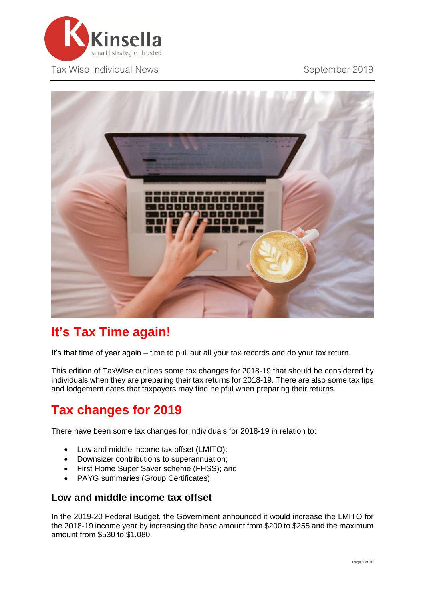



# **It's Tax Time again!**

It's that time of year again – time to pull out all your tax records and do your tax return.

This edition of TaxWise outlines some tax changes for 2018-19 that should be considered by individuals when they are preparing their tax returns for 2018-19. There are also some tax tips and lodgement dates that taxpayers may find helpful when preparing their returns.

# **Tax changes for 2019**

There have been some tax changes for individuals for 2018-19 in relation to:

- Low and middle income tax offset (LMITO);
- Downsizer contributions to superannuation;
- First Home Super Saver scheme (FHSS); and
- PAYG summaries (Group Certificates).

#### **Low and middle income tax offset**

In the 2019-20 Federal Budget, the Government announced it would increase the LMITO for the 2018-19 income year by increasing the base amount from \$200 to \$255 and the maximum amount from \$530 to \$1,080.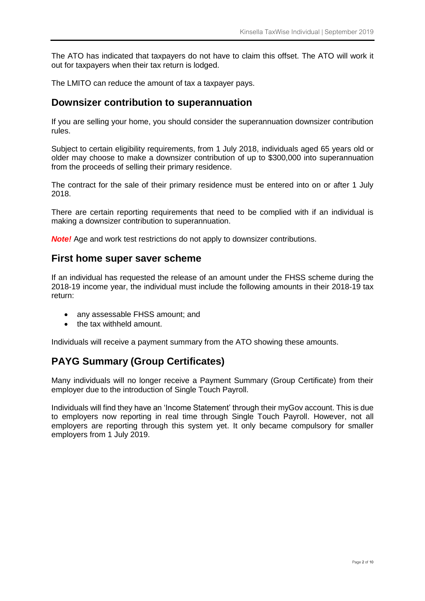The ATO has indicated that taxpayers do not have to claim this offset. The ATO will work it out for taxpayers when their tax return is lodged.

The LMITO can reduce the amount of tax a taxpayer pays.

#### **Downsizer contribution to superannuation**

If you are selling your home, you should consider the superannuation downsizer contribution rules.

Subject to certain eligibility requirements, from 1 July 2018, individuals aged 65 years old or older may choose to make a downsizer contribution of up to \$300,000 into superannuation from the proceeds of selling their primary residence.

The contract for the sale of their primary residence must be entered into on or after 1 July 2018.

There are certain reporting requirements that need to be complied with if an individual is making a downsizer contribution to superannuation.

*Note!* Age and work test restrictions do not apply to downsizer contributions.

#### **First home super saver scheme**

If an individual has requested the release of an amount under the FHSS scheme during the 2018-19 income year, the individual must include the following amounts in their 2018-19 tax return:

- any assessable FHSS amount; and
- the tax withheld amount

Individuals will receive a payment summary from the ATO showing these amounts.

### **PAYG Summary (Group Certificates)**

Many individuals will no longer receive a Payment Summary (Group Certificate) from their employer due to the introduction of Single Touch Payroll.

Individuals will find they have an 'Income Statement' through their myGov account. This is due to employers now reporting in real time through Single Touch Payroll. However, not all employers are reporting through this system yet. It only became compulsory for smaller employers from 1 July 2019.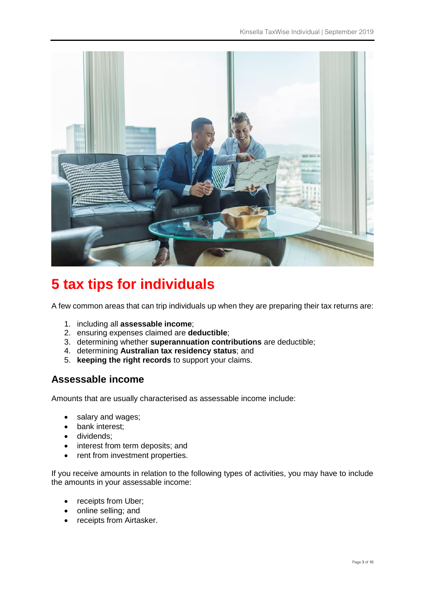

# **5 tax tips for individuals**

A few common areas that can trip individuals up when they are preparing their tax returns are:

- 1. including all **assessable income**;
- 2. ensuring expenses claimed are **deductible**;
- 3. determining whether **superannuation contributions** are deductible;
- 4. determining **Australian tax residency status**; and
- 5. **keeping the right records** to support your claims.

### **Assessable income**

Amounts that are usually characterised as assessable income include:

- salary and wages;
- bank interest:
- dividends;
- interest from term deposits; and
- rent from investment properties.

If you receive amounts in relation to the following types of activities, you may have to include the amounts in your assessable income:

- receipts from Uber;
- online selling; and
- receipts from Airtasker.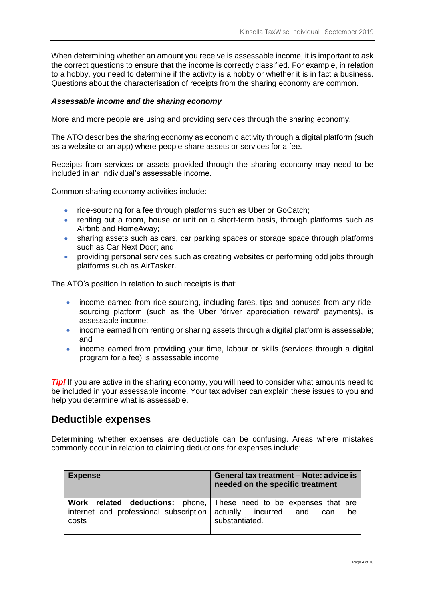When determining whether an amount you receive is assessable income, it is important to ask the correct questions to ensure that the income is correctly classified. For example, in relation to a hobby, you need to determine if the activity is a hobby or whether it is in fact a business. Questions about the characterisation of receipts from the sharing economy are common.

#### *Assessable income and the sharing economy*

More and more people are using and providing services through the sharing economy.

The ATO describes the sharing economy as economic activity through a digital platform (such as a website or an app) where people share assets or services for a fee.

Receipts from services or assets provided through the sharing economy may need to be included in an individual's assessable income.

Common sharing economy activities include:

- ride-sourcing for a fee through platforms such as Uber or GoCatch;
- renting out a room, house or unit on a short-term basis, through platforms such as Airbnb and HomeAway;
- sharing assets such as cars, car parking spaces or storage space through platforms such as Car Next Door; and
- providing personal services such as creating websites or performing odd jobs through platforms such as AirTasker.

The ATO's position in relation to such receipts is that:

- income earned from ride-sourcing, including fares, tips and bonuses from anv ridesourcing platform (such as the Uber 'driver appreciation reward' payments), is assessable income;
- income earned from renting or sharing assets through a digital platform is assessable; and
- income earned from providing your time, labour or skills (services through a digital program for a fee) is assessable income.

*Tip!* If you are active in the sharing economy, you will need to consider what amounts need to be included in your assessable income. Your tax adviser can explain these issues to you and help you determine what is assessable.

#### **Deductible expenses**

Determining whether expenses are deductible can be confusing. Areas where mistakes commonly occur in relation to claiming deductions for expenses include:

| <b>Expense</b>                                                        | General tax treatment - Note: advice is<br>needed on the specific treatment                              |
|-----------------------------------------------------------------------|----------------------------------------------------------------------------------------------------------|
| internet and professional subscription actually incurred and<br>costs | <b>Work related deductions:</b> phone, These need to be expenses that are<br>be<br>can<br>substantiated. |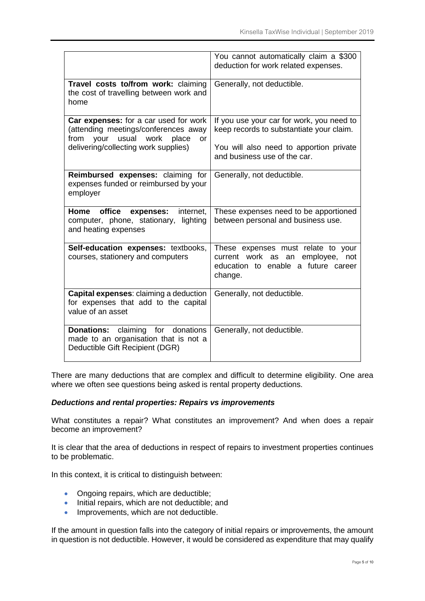|                                                                                                                                                                           | You cannot automatically claim a \$300<br>deduction for work related expenses.                                                                                   |
|---------------------------------------------------------------------------------------------------------------------------------------------------------------------------|------------------------------------------------------------------------------------------------------------------------------------------------------------------|
| Travel costs to/from work: claiming<br>the cost of travelling between work and<br>home                                                                                    | Generally, not deductible.                                                                                                                                       |
| Car expenses: for a car used for work<br>(attending meetings/conferences away<br>usual work<br>place<br>from<br>your<br><b>or</b><br>delivering/collecting work supplies) | If you use your car for work, you need to<br>keep records to substantiate your claim.<br>You will also need to apportion private<br>and business use of the car. |
| Reimbursed expenses: claiming for<br>expenses funded or reimbursed by your<br>employer                                                                                    | Generally, not deductible.                                                                                                                                       |
| Home<br>office<br>expenses:<br>internet.<br>computer, phone, stationary,<br>lighting<br>and heating expenses                                                              | These expenses need to be apportioned<br>between personal and business use.                                                                                      |
| Self-education expenses: textbooks,<br>courses, stationery and computers                                                                                                  | These expenses must relate to your<br>current work as an employee, not<br>education to enable a future career<br>change.                                         |
| Capital expenses: claiming a deduction<br>for expenses that add to the capital<br>value of an asset                                                                       | Generally, not deductible.                                                                                                                                       |
| <b>Donations:</b> claiming for donations<br>made to an organisation that is not a<br>Deductible Gift Recipient (DGR)                                                      | Generally, not deductible.                                                                                                                                       |

There are many deductions that are complex and difficult to determine eligibility. One area where we often see questions being asked is rental property deductions.

#### *Deductions and rental properties: Repairs vs improvements*

What constitutes a repair? What constitutes an improvement? And when does a repair become an improvement?

It is clear that the area of deductions in respect of repairs to investment properties continues to be problematic.

In this context, it is critical to distinguish between:

- Ongoing repairs, which are deductible;
- Initial repairs, which are not deductible; and
- Improvements, which are not deductible.

If the amount in question falls into the category of initial repairs or improvements, the amount in question is not deductible. However, it would be considered as expenditure that may qualify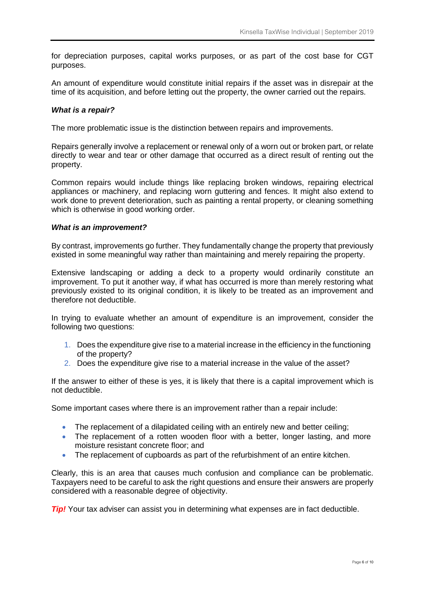for depreciation purposes, capital works purposes, or as part of the cost base for CGT purposes.

An amount of expenditure would constitute initial repairs if the asset was in disrepair at the time of its acquisition, and before letting out the property, the owner carried out the repairs.

#### *What is a repair?*

The more problematic issue is the distinction between repairs and improvements.

Repairs generally involve a replacement or renewal only of a worn out or broken part, or relate directly to wear and tear or other damage that occurred as a direct result of renting out the property.

Common repairs would include things like replacing broken windows, repairing electrical appliances or machinery, and replacing worn guttering and fences. It might also extend to work done to prevent deterioration, such as painting a rental property, or cleaning something which is otherwise in good working order.

#### *What is an improvement?*

By contrast, improvements go further. They fundamentally change the property that previously existed in some meaningful way rather than maintaining and merely repairing the property.

Extensive landscaping or adding a deck to a property would ordinarily constitute an improvement. To put it another way, if what has occurred is more than merely restoring what previously existed to its original condition, it is likely to be treated as an improvement and therefore not deductible.

In trying to evaluate whether an amount of expenditure is an improvement, consider the following two questions:

- 1. Does the expenditure give rise to a material increase in the efficiency in the functioning of the property?
- 2. Does the expenditure give rise to a material increase in the value of the asset?

If the answer to either of these is yes, it is likely that there is a capital improvement which is not deductible.

Some important cases where there is an improvement rather than a repair include:

- The replacement of a dilapidated ceiling with an entirely new and better ceiling;
- The replacement of a rotten wooden floor with a better, longer lasting, and more moisture resistant concrete floor; and
- The replacement of cupboards as part of the refurbishment of an entire kitchen.

Clearly, this is an area that causes much confusion and compliance can be problematic. Taxpayers need to be careful to ask the right questions and ensure their answers are properly considered with a reasonable degree of objectivity.

**Tip!** Your tax adviser can assist you in determining what expenses are in fact deductible.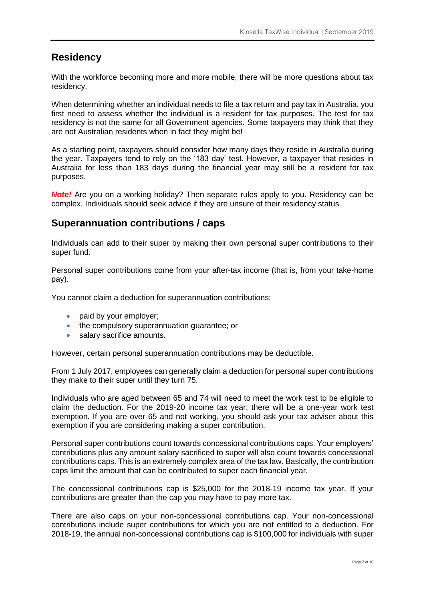### **Residency**

With the workforce becoming more and more mobile, there will be more questions about tax residency.

When determining whether an individual needs to file a tax return and pay tax in Australia, you first need to assess whether the individual is a resident for tax purposes. The test for tax residency is not the same for all Government agencies. Some taxpayers may think that they are not Australian residents when in fact they might be!

As a starting point, taxpayers should consider how many days they reside in Australia during the year. Taxpayers tend to rely on the '183 day' test. However, a taxpayer that resides in Australia for less than 183 days during the financial year may still be a resident for tax purposes.

**Note!** Are you on a working holiday? Then separate rules apply to you. Residency can be complex. Individuals should seek advice if they are unsure of their residency status.

#### **Superannuation contributions / caps**

Individuals can add to their super by making their own personal super contributions to their super fund.

Personal super contributions come from your after-tax income (that is, from your take-home pay).

You cannot claim a deduction for superannuation contributions:

- paid by your employer;
- the compulsory superannuation quarantee: or
- salary sacrifice amounts.

However, certain personal superannuation contributions may be deductible.

From 1 July 2017, employees can generally claim a deduction for personal super contributions they make to their super until they turn 75.

Individuals who are aged between 65 and 74 will need to meet the work test to be eligible to claim the deduction. For the 2019-20 income tax year, there will be a one-year work test exemption. If you are over 65 and not working, you should ask your tax adviser about this exemption if you are considering making a super contribution.

Personal super contributions count towards concessional contributions caps. Your employers' contributions plus any amount salary sacrificed to super will also count towards concessional contributions caps. This is an extremely complex area of the tax law. Basically, the contribution caps limit the amount that can be contributed to super each financial year.

The concessional contributions cap is \$25,000 for the 2018-19 income tax year. If your contributions are greater than the cap you may have to pay more tax.

There are also caps on your non-concessional contributions cap. Your non-concessional contributions include super contributions for which you are not entitled to a deduction. For 2018-19, the annual non-concessional contributions cap is \$100,000 for individuals with super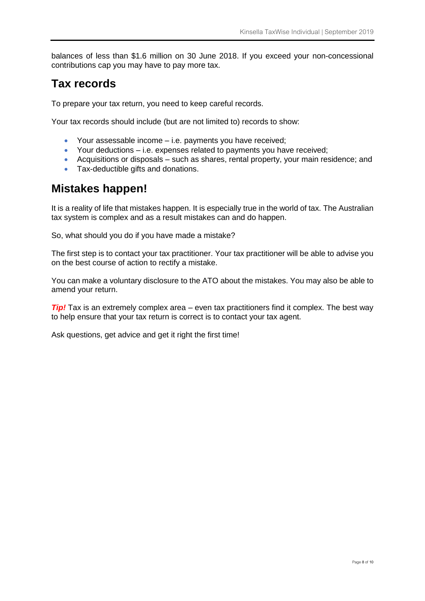balances of less than \$1.6 million on 30 June 2018. If you exceed your non-concessional contributions cap you may have to pay more tax.

## **Tax records**

To prepare your tax return, you need to keep careful records.

Your tax records should include (but are not limited to) records to show:

- Your assessable income i.e. payments you have received:
- Your deductions i.e. expenses related to payments you have received;
- Acquisitions or disposals such as shares, rental property, your main residence; and
- Tax-deductible gifts and donations.

### **Mistakes happen!**

It is a reality of life that mistakes happen. It is especially true in the world of tax. The Australian tax system is complex and as a result mistakes can and do happen.

So, what should you do if you have made a mistake?

The first step is to contact your tax practitioner. Your tax practitioner will be able to advise you on the best course of action to rectify a mistake.

You can make a voluntary disclosure to the ATO about the mistakes. You may also be able to amend your return.

**Tip!** Tax is an extremely complex area – even tax practitioners find it complex. The best way to help ensure that your tax return is correct is to contact your tax agent.

Ask questions, get advice and get it right the first time!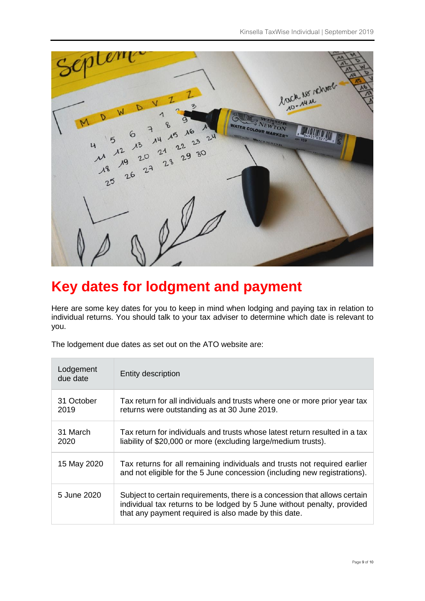

# **Key dates for lodgment and payment**

Here are some key dates for you to keep in mind when lodging and paying tax in relation to individual returns. You should talk to your tax adviser to determine which date is relevant to you.

The lodgement due dates as set out on the ATO website are:

| Lodgement<br>due date | Entity description                                                                                                                                                                                            |
|-----------------------|---------------------------------------------------------------------------------------------------------------------------------------------------------------------------------------------------------------|
| 31 October<br>2019    | Tax return for all individuals and trusts where one or more prior year tax<br>returns were outstanding as at 30 June 2019.                                                                                    |
| 31 March<br>2020      | Tax return for individuals and trusts whose latest return resulted in a tax<br>liability of \$20,000 or more (excluding large/medium trusts).                                                                 |
| 15 May 2020           | Tax returns for all remaining individuals and trusts not required earlier<br>and not eligible for the 5 June concession (including new registrations).                                                        |
| 5 June 2020           | Subject to certain requirements, there is a concession that allows certain<br>individual tax returns to be lodged by 5 June without penalty, provided<br>that any payment required is also made by this date. |